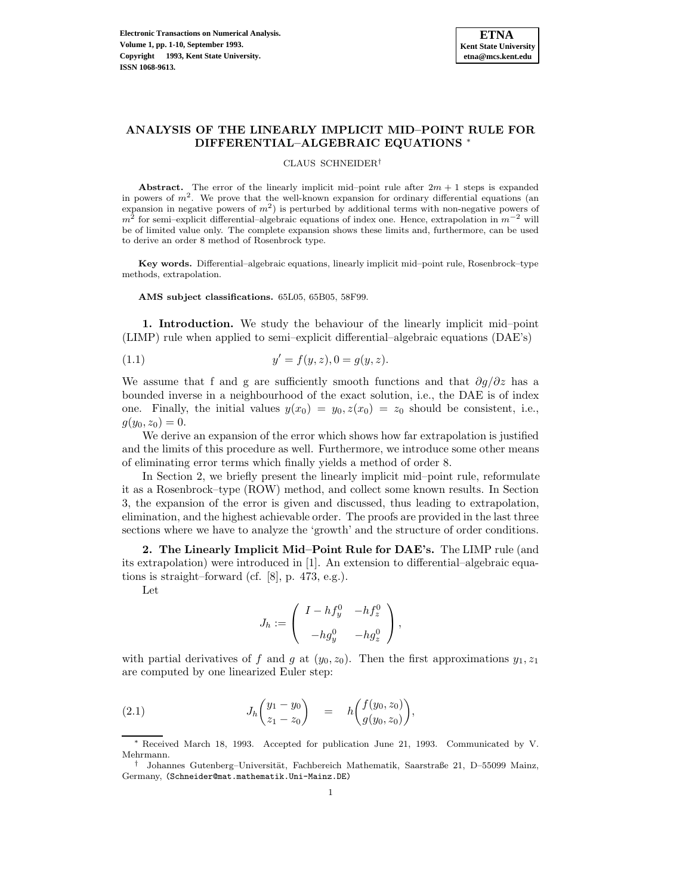# **ANALYSIS OF THE LINEARLY IMPLICIT MID–POINT RULE FOR DIFFERENTIAL–ALGEBRAIC EQUATIONS** <sup>∗</sup>

#### CLAUS SCHNEIDER†

**Abstract.** The error of the linearly implicit mid-point rule after  $2m + 1$  steps is expanded in powers of  $m^2$ . We prove that the well-known expansion for ordinary differential equations (an expansion in negative powers of  $m<sup>2</sup>$ ) is perturbed by additional terms with non-negative powers of  $m^2$  for semi–explicit differential–algebraic equations of index one. Hence, extrapolation in  $m^{-2}$  will be of limited value only. The complete expansion shows these limits and, furthermore, can be used to derive an order 8 method of Rosenbrock type.

**Key words.** Differential–algebraic equations, linearly implicit mid–point rule, Rosenbrock–type methods, extrapolation.

**AMS subject classifications.** 65L05, 65B05, 58F99.

**1. Introduction.** We study the behaviour of the linearly implicit mid–point (LIMP) rule when applied to semi–explicit differential–algebraic equations (DAE's)

(1.1) 
$$
y' = f(y, z), 0 = g(y, z).
$$

We assume that f and g are sufficiently smooth functions and that  $\partial q/\partial z$  has a bounded inverse in a neighbourhood of the exact solution, i.e., the DAE is of index one. Finally, the initial values  $y(x_0) = y_0, z(x_0) = z_0$  should be consistent, i.e.,  $g(y_0, z_0) = 0.$ 

We derive an expansion of the error which shows how far extrapolation is justified and the limits of this procedure as well. Furthermore, we introduce some other means of eliminating error terms which finally yields a method of order 8.

In Section 2, we briefly present the linearly implicit mid–point rule, reformulate it as a Rosenbrock–type (ROW) method, and collect some known results. In Section 3, the expansion of the error is given and discussed, thus leading to extrapolation, elimination, and the highest achievable order. The proofs are provided in the last three sections where we have to analyze the 'growth' and the structure of order conditions.

**2. The Linearly Implicit Mid–Point Rule for DAE's.** The LIMP rule (and its extrapolation) were introduced in [1]. An extension to differential–algebraic equations is straight–forward (cf. [8], p. 473, e.g.).

Let

$$
J_h := \left( \begin{array}{cc} I - h f_y^0 & -h f_z^0 \\ -h g_y^0 & -h g_z^0 \end{array} \right),
$$

with partial derivatives of f and g at  $(y_0, z_0)$ . Then the first approximations  $y_1, z_1$ are computed by one linearized Euler step:

(2.1) 
$$
J_h\begin{pmatrix} y_1 - y_0 \ z_1 - z_0 \end{pmatrix} = h\begin{pmatrix} f(y_0, z_0) \ g(y_0, z_0) \end{pmatrix},
$$

Received March 18, 1993. Accepted for publication June 21, 1993. Communicated by V. Mehrmann.

<sup>&</sup>lt;sup>†</sup> Johannes Gutenberg–Universität, Fachbereich Mathematik, Saarstraße 21, D–55099 Mainz, Germany, (Schneider@mat.mathematik.Uni-Mainz.DE)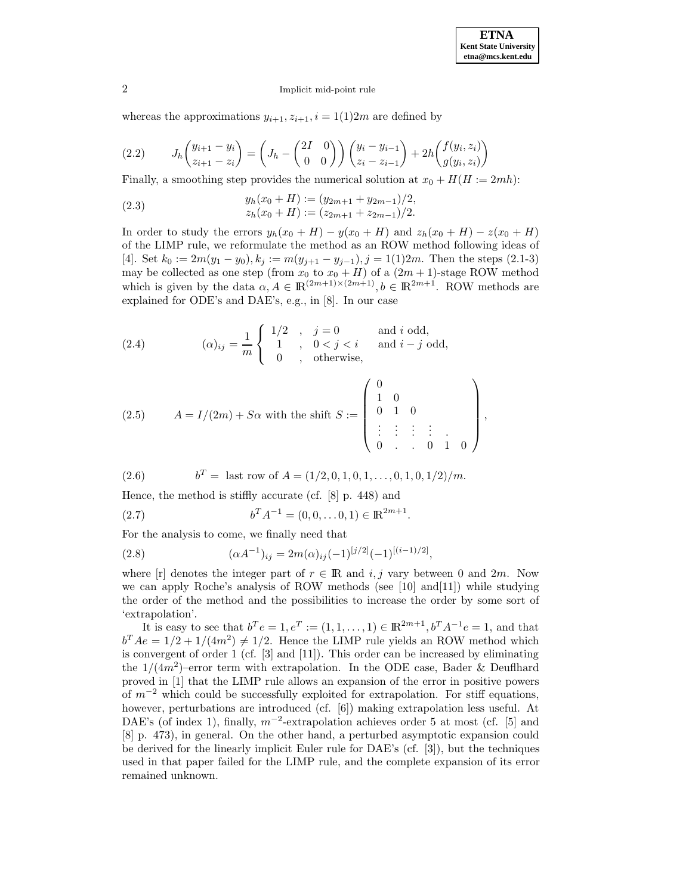whereas the approximations  $y_{i+1}, z_{i+1}, i = 1(1)2m$  are defined by

(2.2) 
$$
J_h\begin{pmatrix} y_{i+1} - y_i \ z_{i+1} - z_i \end{pmatrix} = \begin{pmatrix} J_h - \begin{pmatrix} 2I & 0 \ 0 & 0 \end{pmatrix} \end{pmatrix} \begin{pmatrix} y_i - y_{i-1} \ z_i - z_{i-1} \end{pmatrix} + 2h \begin{pmatrix} f(y_i, z_i) \ g(y_i, z_i) \end{pmatrix}
$$

Finally, a smoothing step provides the numerical solution at  $x_0 + H(H := 2mh)$ :

(2.3) 
$$
y_h(x_0 + H) := (y_{2m+1} + y_{2m-1})/2,
$$

$$
z_h(x_0 + H) := (z_{2m+1} + z_{2m-1})/2.
$$

In order to study the errors  $y_h(x_0 + H) - y(x_0 + H)$  and  $z_h(x_0 + H) - z(x_0 + H)$ of the LIMP rule, we reformulate the method as an ROW method following ideas of [4]. Set  $k_0 := 2m(y_1 - y_0), k_j := m(y_{j+1} - y_{j-1}), j = 1(1)2m$ . Then the steps (2.1-3) may be collected as one step (from  $x_0$  to  $x_0 + H$ ) of a  $(2m + 1)$ -stage ROW method which is given by the data  $\alpha, A \in \mathbb{R}^{(2m+1)\times (2m+1)}, b \in \mathbb{R}^{2m+1}$ . ROW methods are explained for ODE's and DAE's, e.g., in [8]. In our case

(2.4) 
$$
(\alpha)_{ij} = \frac{1}{m} \begin{cases} 1/2, & j = 0 \ 1, & 0 < j < i \ 0, & \text{otherwise,} \end{cases}
$$
 and  $i \text{ odd,}$ 

(2.5) 
$$
A = I/(2m) + S\alpha \text{ with the shift } S := \begin{pmatrix} 0 & & & \\ 1 & 0 & & \\ 0 & 1 & 0 & \\ \vdots & \vdots & \vdots & \vdots \\ 0 & \dots & 0 & 1 & 0 \end{pmatrix},
$$

(2.6) 
$$
b^T = \text{ last row of } A = (1/2, 0, 1, 0, 1, ..., 0, 1, 0, 1/2)/m.
$$

Hence, the method is stiffly accurate (cf. [8] p. 448) and

(2.7) 
$$
b^T A^{-1} = (0, 0, \dots 0, 1) \in \mathbb{R}^{2m+1}.
$$

For the analysis to come, we finally need that

(2.8) 
$$
(\alpha A^{-1})_{ij} = 2m(\alpha)_{ij}(-1)^{[j/2]}(-1)^{[(i-1)/2]},
$$

where [r] denotes the integer part of  $r \in \mathbb{R}$  and i, j vary between 0 and 2m. Now we can apply Roche's analysis of ROW methods (see [10] and[11]) while studying the order of the method and the possibilities to increase the order by some sort of 'extrapolation'.

It is easy to see that  $b^T e = 1, e^T := (1, 1, ..., 1) \in \mathbb{R}^{2m+1}, b^T A^{-1} e = 1$ , and that  $b^T Ae = 1/2 + 1/(4m^2) \neq 1/2$ . Hence the LIMP rule yields an ROW method which is convergent of order 1 (cf. [3] and [11]). This order can be increased by eliminating the  $1/(4m^2)$ –error term with extrapolation. In the ODE case, Bader & Deuflhard proved in [1] that the LIMP rule allows an expansion of the error in positive powers of  $m^{-2}$  which could be successfully exploited for extrapolation. For stiff equations, however, perturbations are introduced (cf. [6]) making extrapolation less useful. At DAE's (of index 1), finally,  $m^{-2}$ -extrapolation achieves order 5 at most (cf. [5] and [8] p. 473), in general. On the other hand, a perturbed asymptotic expansion could be derived for the linearly implicit Euler rule for DAE's (cf. [3]), but the techniques used in that paper failed for the LIMP rule, and the complete expansion of its error remained unknown.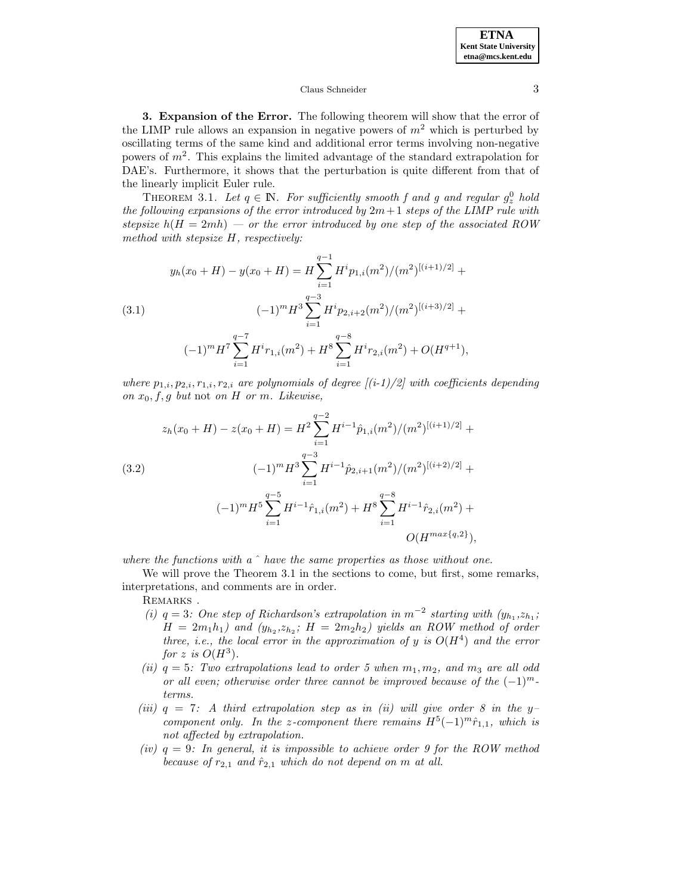### Claus Schneider 3

**3. Expansion of the Error.** The following theorem will show that the error of the LIMP rule allows an expansion in negative powers of  $m<sup>2</sup>$  which is perturbed by oscillating terms of the same kind and additional error terms involving non-negative powers of  $m^2$ . This explains the limited advantage of the standard extrapolation for DAE's. Furthermore, it shows that the perturbation is quite different from that of the linearly implicit Euler rule.

THEOREM 3.1. Let  $q \in \mathbb{N}$ . For sufficiently smooth f and g and regular  $g_z^0$  hold the following expansions of the error introduced by  $2m+1$  steps of the LIMP rule with stepsize  $h(H = 2mh)$  — or the error introduced by one step of the associated ROW method with stepsize H, respectively:

$$
y_h(x_0 + H) - y(x_0 + H) = H \sum_{i=1}^{q-1} H^i p_{1,i}(m^2) / (m^2)^{[(i+1)/2]} +
$$
  
(3.1)  

$$
(-1)^m H^3 \sum_{i=1}^{q-3} H^i p_{2,i+2}(m^2) / (m^2)^{[(i+3)/2]} +
$$
  

$$
(-1)^m H^7 \sum_{i=1}^{q-7} H^i r_{1,i}(m^2) + H^8 \sum_{i=1}^{q-8} H^i r_{2,i}(m^2) + O(H^{q+1}),
$$

where  $p_{1,i},p_{2,i},r_{1,i},r_{2,i}$  are polynomials of degree  $[(i-1)/2]$  with coefficients depending on  $x_0, f, g$  but not on H or m. Likewise,

$$
z_h(x_0 + H) - z(x_0 + H) = H^2 \sum_{i=1}^{q-2} H^{i-1} \hat{p}_{1,i}(m^2) / (m^2)^{[(i+1)/2]} +
$$
  
(3.2)  

$$
(-1)^m H^3 \sum_{i=1}^{q-3} H^{i-1} \hat{p}_{2,i+1}(m^2) / (m^2)^{[(i+2)/2]} +
$$
  

$$
(-1)^m H^5 \sum_{i=1}^{q-5} H^{i-1} \hat{r}_{1,i}(m^2) + H^8 \sum_{i=1}^{q-8} H^{i-1} \hat{r}_{2,i}(m^2) + O(H^{max\{q,2\}}),
$$

where the functions with a  $\hat{ }$  have the same properties as those without one.

We will prove the Theorem 3.1 in the sections to come, but first, some remarks, interpretations, and comments are in order.

REMARKS.

- (i)  $q = 3$ : One step of Richardson's extrapolation in  $m^{-2}$  starting with  $(y_{h_1}, z_{h_1};$  $H = 2m_1h_1$ ) and  $(y_{h_2}, z_{h_2}; H = 2m_2h_2)$  yields an ROW method of order three, i.e., the local error in the approximation of y is  $O(H<sup>4</sup>)$  and the error for z is  $O(H^3)$ .
- (ii)  $q = 5$ : Two extrapolations lead to order 5 when  $m_1, m_2$ , and  $m_3$  are all odd or all even; otherwise order three cannot be improved because of the  $(-1)^m$ terms.
- (iii)  $q = 7$ : A third extrapolation step as in (ii) will give order 8 in the ycomponent only. In the z-component there remains  $H^5(-1)^m\hat{r}_{1,1}$ , which is not affected by extrapolation.
- (iv)  $q = 9$ : In general, it is impossible to achieve order 9 for the ROW method because of  $r_{2,1}$  and  $\hat{r}_{2,1}$  which do not depend on m at all.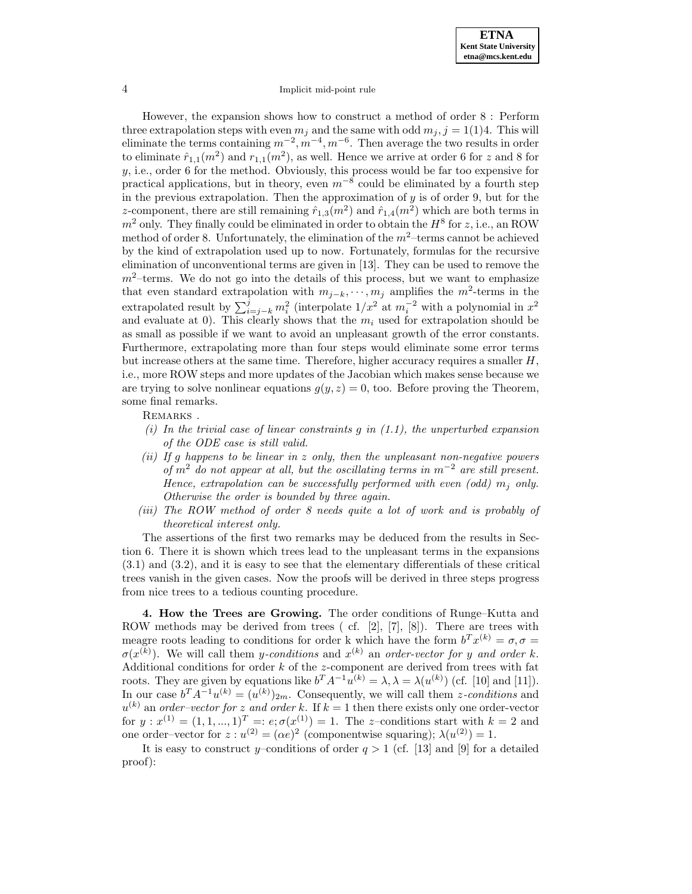However, the expansion shows how to construct a method of order 8 : Perform three extrapolation steps with even  $m_j$  and the same with odd  $m_j$ ,  $j = 1(1)4$ . This will eliminate the terms containing  $m^{-2}$ ,  $m^{-4}$ ,  $m^{-6}$ . Then average the two results in order to eliminate  $\hat{r}_{1,1}(m^2)$  and  $r_{1,1}(m^2)$ , as well. Hence we arrive at order 6 for z and 8 for y, i.e., order 6 for the method. Obviously, this process would be far too expensive for practical applications, but in theory, even  $m^{-8}$  could be eliminated by a fourth step in the previous extrapolation. Then the approximation of  $y$  is of order 9, but for the z-component, there are still remaining  $\hat{r}_{1,3}(m^2)$  and  $\hat{r}_{1,4}(m^2)$  which are both terms in  $m^2$  only. They finally could be eliminated in order to obtain the  $H^8$  for z, i.e., an ROW method of order 8. Unfortunately, the elimination of the  $m^2$ -terms cannot be achieved by the kind of extrapolation used up to now. Fortunately, formulas for the recursive elimination of unconventional terms are given in [13]. They can be used to remove the  $m^2$ -terms. We do not go into the details of this process, but we want to emphasize that even standard extrapolation with  $m_{j-k}, \dots, m_j$  amplifies the  $m^2$ -terms in the extrapolated result by  $\sum_{i=j-k}^{j} m_i^2$  (interpolate  $1/x^2$  at  $m_i^{-2}$  with a polynomial in  $x^2$ and evaluate at 0). This clearly shows that the  $m<sub>i</sub>$  used for extrapolation should be as small as possible if we want to avoid an unpleasant growth of the error constants. Furthermore, extrapolating more than four steps would eliminate some error terms but increase others at the same time. Therefore, higher accuracy requires a smaller  $H$ , i.e., more ROW steps and more updates of the Jacobian which makes sense because we are trying to solve nonlinear equations  $g(y, z) = 0$ , too. Before proving the Theorem, some final remarks.

REMARKS.

- (i) In the trivial case of linear constraints q in  $(1.1)$ , the unperturbed expansion of the ODE case is still valid.
- (ii) If g happens to be linear in  $z$  only, then the unpleasant non-negative powers of  $m^2$  do not appear at all, but the oscillating terms in  $m^{-2}$  are still present. Hence, extrapolation can be successfully performed with even (odd)  $m_i$  only. Otherwise the order is bounded by three again.
- (iii) The ROW method of order 8 needs quite a lot of work and is probably of theoretical interest only.

The assertions of the first two remarks may be deduced from the results in Section 6. There it is shown which trees lead to the unpleasant terms in the expansions (3.1) and (3.2), and it is easy to see that the elementary differentials of these critical trees vanish in the given cases. Now the proofs will be derived in three steps progress from nice trees to a tedious counting procedure.

**4. How the Trees are Growing.** The order conditions of Runge–Kutta and ROW methods may be derived from trees ( cf. [2], [7], [8]). There are trees with meagre roots leading to conditions for order k which have the form  $b^T x^{(k)} = \sigma, \sigma =$  $\sigma(x^{(k)})$ . We will call them y-conditions and  $x^{(k)}$  an order-vector for y and order k. Additional conditions for order  $k$  of the z-component are derived from trees with fat roots. They are given by equations like  $b^T A^{-1} u^{(k)} = \lambda, \lambda = \lambda(u^{(k)})$  (cf. [10] and [11]). In our case  $b^T A^{-1} u^{(k)} = (u^{(k)})_{2m}$ . Consequently, we will call them *z*-conditions and  $u^{(k)}$  an order-vector for z and order k. If  $k = 1$  then there exists only one order-vector for  $y: x^{(1)} = (1, 1, ..., 1)^T =: e; \sigma(x^{(1)}) = 1$ . The z-conditions start with  $k = 2$  and one order–vector for  $z : u^{(2)} = (\alpha e)^2$  (componentwise squaring);  $\lambda(u^{(2)}) = 1$ .

It is easy to construct y–conditions of order  $q > 1$  (cf. [13] and [9] for a detailed proof):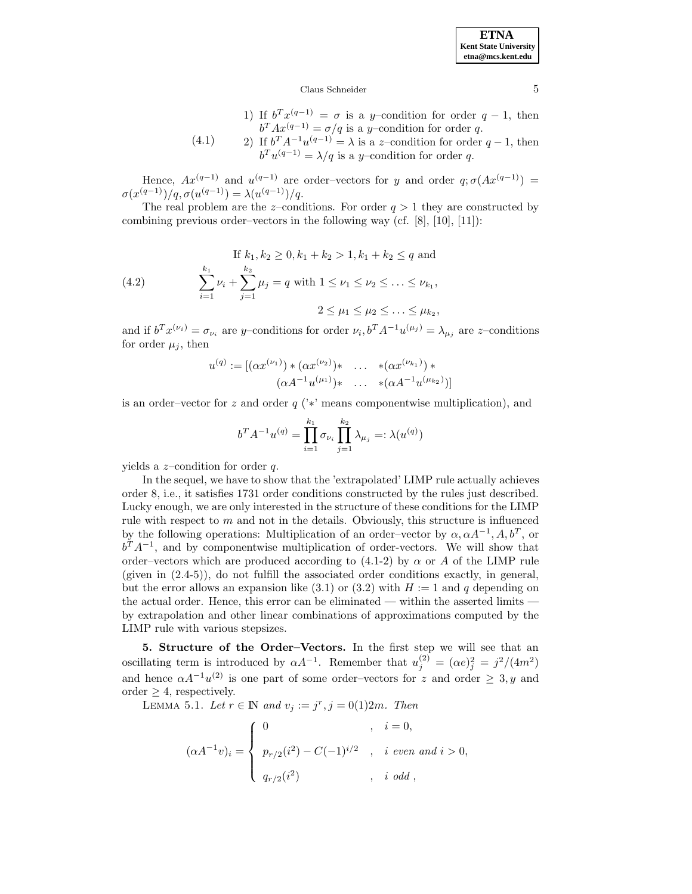**ETNA Kent State University etna@mcs.kent.edu**

#### Claus Schneider 5

- 1) If  $b^T x^{(q-1)} = \sigma$  is a y-condition for order  $q-1$ , then  $b^T A x^{(q-1)} = \sigma / q$  is a y–condition for order q.
- (4.1) 2) If  $b^T A^{-1}u^{(q-1)} = \lambda$  is a z–condition for order  $q-1$ , then  $b^T u^{(q-1)} = \lambda / q$  is a y–condition for order q.

Hence,  $Ax^{(q-1)}$  and  $u^{(q-1)}$  are order–vectors for y and order  $q; \sigma(Ax^{(q-1)}) =$  $\sigma(x^{(q-1)})/q, \sigma(u^{(q-1)}) = \lambda(u^{(q-1)})/q.$ 

The real problem are the z–conditions. For order  $q > 1$  they are constructed by combining previous order–vectors in the following way (cf. [8], [10], [11]):

(4.2) If 
$$
k_1, k_2 \ge 0, k_1 + k_2 > 1, k_1 + k_2 \le q
$$
 and  
\n
$$
\sum_{i=1}^{k_1} \nu_i + \sum_{j=1}^{k_2} \mu_j = q \text{ with } 1 \le \nu_1 \le \nu_2 \le \dots \le \nu_{k_1},
$$
\n
$$
2 \le \mu_1 \le \mu_2 \le \dots \le \mu_{k_2},
$$

and if  $b^T x^{(\nu_i)} = \sigma_{\nu_i}$  are y–conditions for order  $\nu_i, b^T A^{-1} u^{(\mu_j)} = \lambda_{\mu_j}$  are z–conditions for order  $\mu_i$ , then

$$
u^{(q)} := [(\alpha x^{(\nu_1)}) * (\alpha x^{(\nu_2)}) * \dots * (\alpha x^{(\nu_{k_1})}) * (\alpha A^{-1} u^{(\mu_1)}) * \dots * (\alpha A^{-1} u^{(\mu_{k_2})})]
$$

is an order–vector for z and order  $q$  ('\*' means componentwise multiplication), and

$$
b^{T} A^{-1} u^{(q)} = \prod_{i=1}^{k_1} \sigma_{\nu_i} \prod_{j=1}^{k_2} \lambda_{\mu_j} =: \lambda(u^{(q)})
$$

yields a *z*-condition for order  $q$ .

In the sequel, we have to show that the 'extrapolated' LIMP rule actually achieves order 8, i.e., it satisfies 1731 order conditions constructed by the rules just described. Lucky enough, we are only interested in the structure of these conditions for the LIMP rule with respect to  $m$  and not in the details. Obviously, this structure is influenced by the following operations: Multiplication of an order–vector by  $\alpha, \alpha A^{-1}, A, b^T$ , or  $b^T A^{-1}$ , and by componentwise multiplication of order-vectors. We will show that order–vectors which are produced according to  $(4.1-2)$  by  $\alpha$  or A of the LIMP rule (given in  $(2.4-5)$ ), do not fulfill the associated order conditions exactly, in general, but the error allows an expansion like  $(3.1)$  or  $(3.2)$  with  $H := 1$  and q depending on the actual order. Hence, this error can be eliminated — within the asserted limits by extrapolation and other linear combinations of approximations computed by the LIMP rule with various stepsizes.

**5. Structure of the Order–Vectors.** In the first step we will see that an oscillating term is introduced by  $\alpha A^{-1}$ . Remember that  $u_j^{(2)} = (\alpha e)_j^2 = j^2/(4m^2)$ and hence  $\alpha A^{-1}u^{(2)}$  is one part of some order–vectors for z and order  $\geq 3, y$  and order  $\geq 4$ , respectively.

LEMMA 5.1. Let  $r \in \mathbb{N}$  and  $v_j := j^r, j = 0(1)2m$ . Then

$$
(\alpha A^{-1}v)_i = \begin{cases} 0 & , i = 0, \\ p_{r/2}(i^2) - C(-1)^{i/2} & , i \text{ even and } i > 0, \\ q_{r/2}(i^2) & , i \text{ odd}, \end{cases}
$$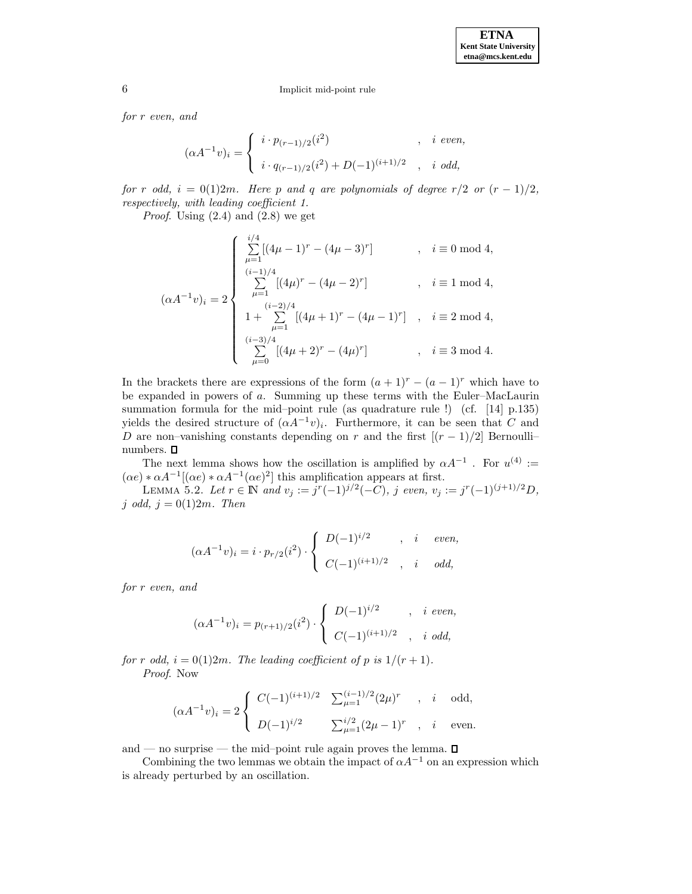for r even, and

$$
(\alpha A^{-1}v)_i = \begin{cases} i \cdot p_{(r-1)/2}(i^2) & , i \text{ even,} \\ i \cdot q_{(r-1)/2}(i^2) + D(-1)^{(i+1)/2} & , i \text{ odd,} \end{cases}
$$

for r odd,  $i = 0(1)2m$ . Here p and q are polynomials of degree r/2 or  $(r - 1)/2$ , respectively, with leading coefficient 1.

*Proof.* Using  $(2.4)$  and  $(2.8)$  we get

$$
(\alpha A^{-1}v)_i = 2 \begin{cases} \sum_{\mu=1}^{i/4} [(4\mu - 1)^r - (4\mu - 3)^r] & , i \equiv 0 \mod 4, \\ \sum_{\mu=1}^{(i-1)/4} [(4\mu)^r - (4\mu - 2)^r] & , i \equiv 1 \mod 4, \\ 1 + \sum_{\mu=1}^{(i-2)/4} [(4\mu + 1)^r - (4\mu - 1)^r] & , i \equiv 2 \mod 4, \\ \sum_{\mu=0}^{(i-3)/4} [(4\mu + 2)^r - (4\mu)^r] & , i \equiv 3 \mod 4. \end{cases}
$$

In the brackets there are expressions of the form  $(a + 1)^r - (a - 1)^r$  which have to be expanded in powers of a. Summing up these terms with the Euler–MacLaurin summation formula for the mid–point rule (as quadrature rule !) (cf. [14] p.135) yields the desired structure of  $(\alpha A^{-1}v)_i$ . Furthermore, it can be seen that C and D are non–vanishing constants depending on r and the first  $[(r-1)/2]$  Bernoulli– numbers.  $\square$ 

The next lemma shows how the oscillation is amplified by  $\alpha A^{-1}$ . For  $u^{(4)}$  :=  $(\alpha e) * \alpha A^{-1}[(\alpha e) * \alpha A^{-1}(\alpha e)^2]$  this amplification appears at first.

LEMMA 5.2. Let  $r \in \mathbb{N}$  and  $v_j := j^r(-1)^{j/2}(-C)$ , j even,  $v_j := j^r(-1)^{(j+1)/2}D$ , j odd,  $j = 0(1)2m$ . Then

$$
(\alpha A^{-1}v)_i = i \cdot p_{r/2}(i^2) \cdot \begin{cases} D(-1)^{i/2} & , i \quad even, \\ C(-1)^{(i+1)/2} & , i \quad odd, \end{cases}
$$

for r even, and

$$
(\alpha A^{-1}v)_i = p_{(r+1)/2}(i^2) \cdot \begin{cases} D(-1)^{i/2} & , i \text{ even,} \\ C(-1)^{(i+1)/2} & , i \text{ odd,} \end{cases}
$$

for r odd,  $i = 0(1)2m$ . The leading coefficient of p is  $1/(r+1)$ . Proof. Now

$$
(\alpha A^{-1}v)_i = 2\begin{cases} C(-1)^{(i+1)/2} & \sum_{\mu=1}^{(i-1)/2} (2\mu)^r , i \text{ odd,} \\ D(-1)^{i/2} & \sum_{\mu=1}^{i/2} (2\mu - 1)^r , i \text{ even.} \end{cases}
$$

and — no surprise — the mid-point rule again proves the lemma.  $\square$ 

Combining the two lemmas we obtain the impact of  $\alpha A^{-1}$  on an expression which is already perturbed by an oscillation.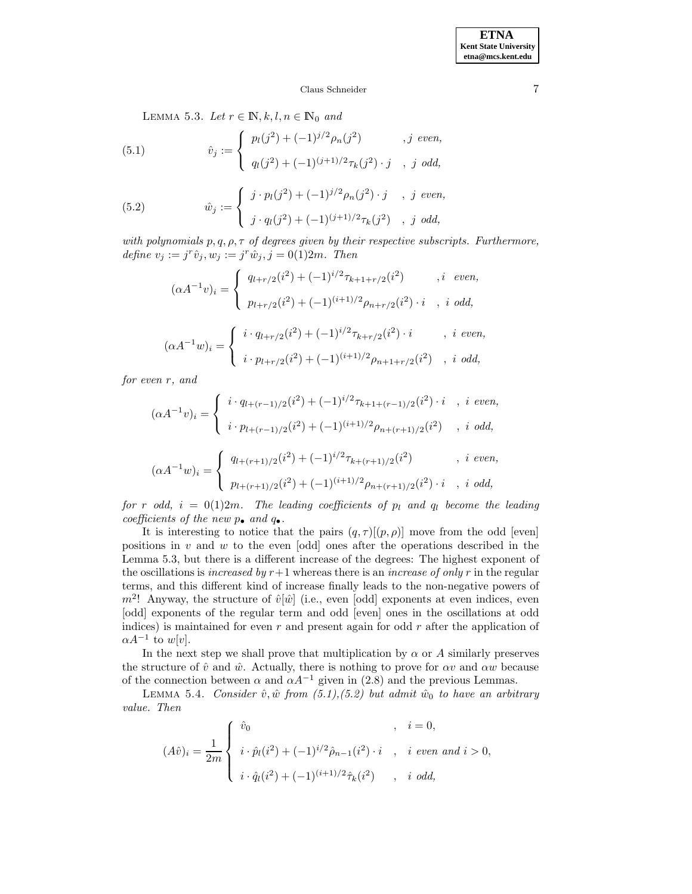## Claus Schneider 7

LEMMA 5.3. Let  $r \in \mathbb{N}, k, l, n \in \mathbb{N}_0$  and

(5.1) 
$$
\hat{v}_j := \begin{cases} p_l(j^2) + (-1)^{j/2} \rho_n(j^2) & , j \text{ even,} \\ q_l(j^2) + (-1)^{(j+1)/2} \tau_k(j^2) \cdot j & , j \text{ odd,} \end{cases}
$$

(5.2) 
$$
\hat{w}_j := \begin{cases} j \cdot p_l(j^2) + (-1)^{j/2} \rho_n(j^2) \cdot j & , j \text{ even,} \\ j \cdot q_l(j^2) + (-1)^{(j+1)/2} \tau_k(j^2) & , j \text{ odd,} \end{cases}
$$

with polynomials  $p, q, \rho, \tau$  of degrees given by their respective subscripts. Furthermore, define  $v_j := j^r \hat{v}_j, w_j := j^r \hat{w}_j, j = 0 (1) 2m$ . Then

$$
(\alpha A^{-1}v)_i = \begin{cases} q_{l+r/2}(i^2) + (-1)^{i/2} \tau_{k+1+r/2}(i^2) & , i \text{ even,} \\ p_{l+r/2}(i^2) + (-1)^{(i+1)/2} \rho_{n+r/2}(i^2) \cdot i & , i \text{ odd,} \end{cases}
$$

$$
(\alpha A^{-1}w)_i = \begin{cases} i \cdot q_{l+r/2}(i^2) + (-1)^{i/2} \tau_{k+r/2}(i^2) \cdot i & , i \text{ even,} \\ i \cdot p_{l+r/2}(i^2) + (-1)^{(i+1)/2} \rho_{n+1+r/2}(i^2) & , i \text{ odd,} \end{cases}
$$

for even r, and

$$
(\alpha A^{-1}v)_i = \begin{cases} i \cdot q_{l+(r-1)/2}(i^2) + (-1)^{i/2} \tau_{k+1+(r-1)/2}(i^2) \cdot i, & i \text{ even,} \\ i \cdot p_{l+(r-1)/2}(i^2) + (-1)^{(i+1)/2} \rho_{n+(r+1)/2}(i^2), & i \text{ odd,} \end{cases}
$$

$$
(\alpha A^{-1}w)_i = \begin{cases} q_{l+(r+1)/2}(i^2) + (-1)^{i/2} \tau_{k+(r+1)/2}(i^2) & , i \text{ even,} \\ p_{l+(r+1)/2}(i^2) + (-1)^{(i+1)/2} \rho_{n+(r+1)/2}(i^2) \cdot i & , i \text{ odd,} \end{cases}
$$

for r odd,  $i = 0(1)2m$ . The leading coefficients of  $p_l$  and  $q_l$  become the leading coefficients of the new  $p_{\bullet}$  and  $q_{\bullet}$ .

It is interesting to notice that the pairs  $(q, \tau)[(p, \rho)]$  move from the odd [even] positions in  $v$  and  $w$  to the even [odd] ones after the operations described in the Lemma 5.3, but there is a different increase of the degrees: The highest exponent of the oscillations is *increased by*  $r+1$  whereas there is an *increase of only r* in the regular terms, and this different kind of increase finally leads to the non-negative powers of  $m^2$ ! Anyway, the structure of  $\hat{v}[\hat{w}]$  (i.e., even [odd] exponents at even indices, even [odd] exponents of the regular term and odd [even] ones in the oscillations at odd indices) is maintained for even  $r$  and present again for odd  $r$  after the application of  $\alpha A^{-1}$  to w[v].

In the next step we shall prove that multiplication by  $\alpha$  or A similarly preserves the structure of  $\hat{v}$  and  $\hat{w}$ . Actually, there is nothing to prove for  $\alpha v$  and  $\alpha w$  because of the connection between  $\alpha$  and  $\alpha A^{-1}$  given in (2.8) and the previous Lemmas.

LEMMA 5.4. Consider  $\hat{v}, \hat{w}$  from (5.1),(5.2) but admit  $\hat{w}_0$  to have an arbitrary value. Then

$$
(A\hat{v})_i = \frac{1}{2m} \begin{cases} \hat{v}_0 & , i = 0, \\ \begin{aligned} i \cdot \hat{p}_l(i^2) + (-1)^{i/2} \hat{\rho}_{n-1}(i^2) \cdot i & , i \text{ even and } i > 0, \\ i \cdot \hat{q}_l(i^2) + (-1)^{(i+1)/2} \hat{\tau}_k(i^2) & , i \text{ odd,} \end{aligned} \end{cases}
$$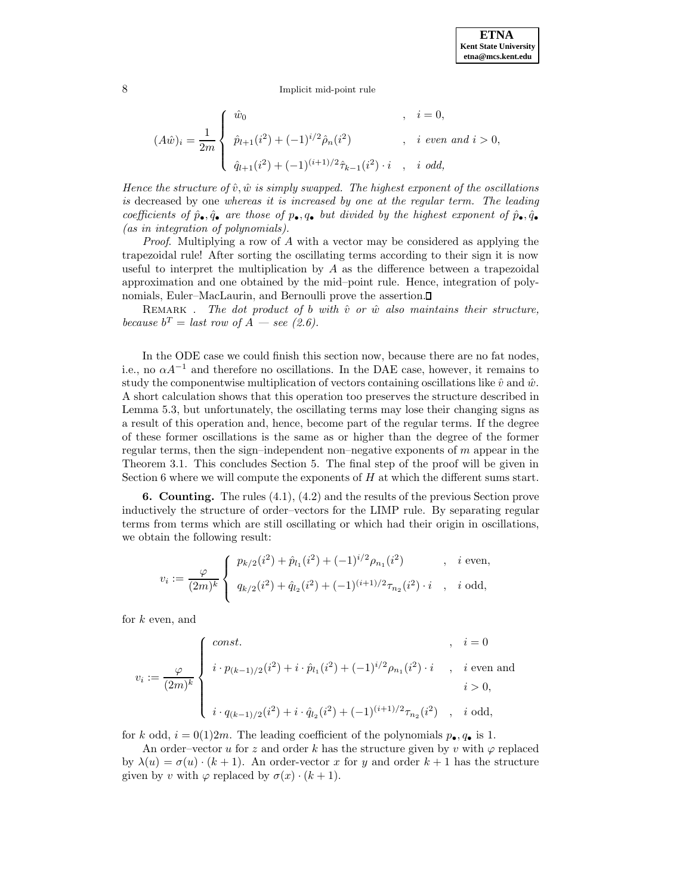$$
(A\hat{w})_i = \frac{1}{2m} \begin{cases} \begin{array}{ll} \hat{w}_0 & , i = 0, \\ \hat{p}_{l+1}(i^2) + (-1)^{i/2} \hat{\rho}_n(i^2) & , i \text{ even and } i > 0, \\ \begin{array}{ll} \hat{q}_{l+1}(i^2) + (-1)^{(i+1)/2} \hat{\tau}_{k-1}(i^2) \cdot i & , i \text{ odd,} \end{array} \end{cases}
$$

Hence the structure of  $\hat{v}, \hat{w}$  is simply swapped. The highest exponent of the oscillations is decreased by one whereas it is increased by one at the regular term. The leading coefficients of  $\hat{p}_{\bullet}, \hat{q}_{\bullet}$  are those of  $p_{\bullet}, q_{\bullet}$  but divided by the highest exponent of  $\hat{p}_{\bullet}, \hat{q}_{\bullet}$ (as in integration of polynomials).

*Proof.* Multiplying a row of  $A$  with a vector may be considered as applying the trapezoidal rule! After sorting the oscillating terms according to their sign it is now useful to interpret the multiplication by  $A$  as the difference between a trapezoidal approximation and one obtained by the mid–point rule. Hence, integration of polynomials, Euler–MacLaurin, and Bernoulli prove the assertion.

REMARK . The dot product of b with  $\hat{v}$  or  $\hat{w}$  also maintains their structure, because  $b^T =$  last row of  $A$  — see (2.6).

In the ODE case we could finish this section now, because there are no fat nodes, i.e., no  $\alpha A^{-1}$  and therefore no oscillations. In the DAE case, however, it remains to study the componentwise multiplication of vectors containing oscillations like  $\hat{v}$  and  $\hat{w}$ . A short calculation shows that this operation too preserves the structure described in Lemma 5.3, but unfortunately, the oscillating terms may lose their changing signs as a result of this operation and, hence, become part of the regular terms. If the degree of these former oscillations is the same as or higher than the degree of the former regular terms, then the sign–independent non–negative exponents of  $m$  appear in the Theorem 3.1. This concludes Section 5. The final step of the proof will be given in Section 6 where we will compute the exponents of H at which the different sums start.

**6. Counting.** The rules (4.1), (4.2) and the results of the previous Section prove inductively the structure of order–vectors for the LIMP rule. By separating regular terms from terms which are still oscillating or which had their origin in oscillations, we obtain the following result:

$$
v_i := \frac{\varphi}{(2m)^k} \begin{cases} p_{k/2}(i^2) + \hat{p}_{l_1}(i^2) + (-1)^{i/2} \rho_{n_1}(i^2) & , i \text{ even,} \\ q_{k/2}(i^2) + \hat{q}_{l_2}(i^2) + (-1)^{(i+1)/2} \tau_{n_2}(i^2) \cdot i & , i \text{ odd,} \end{cases}
$$

for  $k$  even, and

$$
v_i := \frac{\varphi}{(2m)^k} \left\{ \begin{array}{ll} \cos t. & , & i = 0 \\[1ex] i \cdot p_{(k-1)/2}(i^2) + i \cdot \hat{p}_{l_1}(i^2) + (-1)^{i/2} \rho_{n_1}(i^2) \cdot i & , & i \text{ even and} \\[1ex] i \cdot q_{(k-1)/2}(i^2) + i \cdot \hat{q}_{l_2}(i^2) + (-1)^{(i+1)/2} \tau_{n_2}(i^2) & , & i \text{ odd,} \end{array} \right.
$$

for k odd,  $i = 0(1)2m$ . The leading coefficient of the polynomials  $p_{\bullet}, q_{\bullet}$  is 1.

An order–vector u for z and order k has the structure given by v with  $\varphi$  replaced by  $\lambda(u) = \sigma(u) \cdot (k+1)$ . An order-vector x for y and order  $k+1$  has the structure given by v with  $\varphi$  replaced by  $\sigma(x) \cdot (k+1)$ .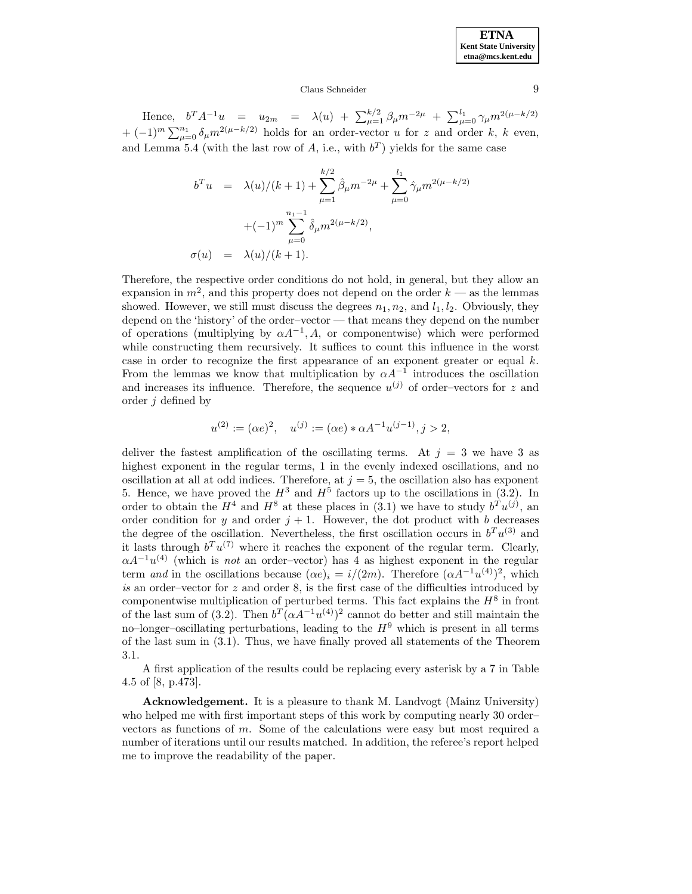### Claus Schneider 9

Hence,  $b^T A^{-1} u = u_{2m} = \lambda(u) + \sum_{\mu=1}^{k/2} \beta_{\mu} m^{-2\mu} + \sum_{\mu=0}^{l_1} \gamma_{\mu} m^{2(\mu-k/2)}$  $+ (-1)^m \sum_{\mu=0}^{n_1} \delta_\mu m^{2(\mu-k/2)}$  holds for an order-vector u for z and order k, k even, and Lemma 5.4 (with the last row of A, i.e., with  $b^T$ ) yields for the same case

$$
b^{T}u = \lambda(u)/(k+1) + \sum_{\mu=1}^{k/2} \hat{\beta}_{\mu} m^{-2\mu} + \sum_{\mu=0}^{l_{1}} \hat{\gamma}_{\mu} m^{2(\mu-k/2)}
$$

$$
+(-1)^{m} \sum_{\mu=0}^{n_{1}-1} \hat{\delta}_{\mu} m^{2(\mu-k/2)},
$$

$$
\sigma(u) = \lambda(u)/(k+1).
$$

Therefore, the respective order conditions do not hold, in general, but they allow an expansion in  $m^2$ , and this property does not depend on the order  $k$  — as the lemmas showed. However, we still must discuss the degrees  $n_1, n_2$ , and  $l_1, l_2$ . Obviously, they depend on the 'history' of the order–vector — that means they depend on the number of operations (multiplying by  $\alpha A^{-1}$ , A, or componentwise) which were performed while constructing them recursively. It suffices to count this influence in the worst case in order to recognize the first appearance of an exponent greater or equal  $k$ . From the lemmas we know that multiplication by  $\alpha A^{-1}$  introduces the oscillation and increases its influence. Therefore, the sequence  $u^{(j)}$  of order–vectors for z and order j defined by

$$
u^{(2)} := (\alpha e)^2
$$
,  $u^{(j)} := (\alpha e) * \alpha A^{-1} u^{(j-1)}, j > 2$ ,

deliver the fastest amplification of the oscillating terms. At  $j = 3$  we have 3 as highest exponent in the regular terms, 1 in the evenly indexed oscillations, and no oscillation at all at odd indices. Therefore, at  $j = 5$ , the oscillation also has exponent 5. Hence, we have proved the  $H^3$  and  $H^5$  factors up to the oscillations in (3.2). In order to obtain the  $H^4$  and  $H^8$  at these places in (3.1) we have to study  $b^T u^{(j)}$ , an order condition for y and order  $j + 1$ . However, the dot product with b decreases the degree of the oscillation. Nevertheless, the first oscillation occurs in  $b^T u^{(3)}$  and it lasts through  $b^T u^{(7)}$  where it reaches the exponent of the regular term. Clearly,  $\alpha A^{-1}u^{(4)}$  (which is not an order–vector) has 4 as highest exponent in the regular term and in the oscillations because  $(\alpha e)_i = i/(2m)$ . Therefore  $(\alpha A^{-1}u^{(4)})^2$ , which  $is$  an order–vector for  $z$  and order 8, is the first case of the difficulties introduced by componentwise multiplication of perturbed terms. This fact explains the  $H^8$  in front of the last sum of (3.2). Then  $b^T(\alpha A^{-1}u^{(4)})^2$  cannot do better and still maintain the no–longer–oscillating perturbations, leading to the  $H^9$  which is present in all terms of the last sum in (3.1). Thus, we have finally proved all statements of the Theorem 3.1.

A first application of the results could be replacing every asterisk by a 7 in Table 4.5 of [8, p.473].

**Acknowledgement.** It is a pleasure to thank M. Landvogt (Mainz University) who helped me with first important steps of this work by computing nearly 30 order– vectors as functions of m. Some of the calculations were easy but most required a number of iterations until our results matched. In addition, the referee's report helped me to improve the readability of the paper.